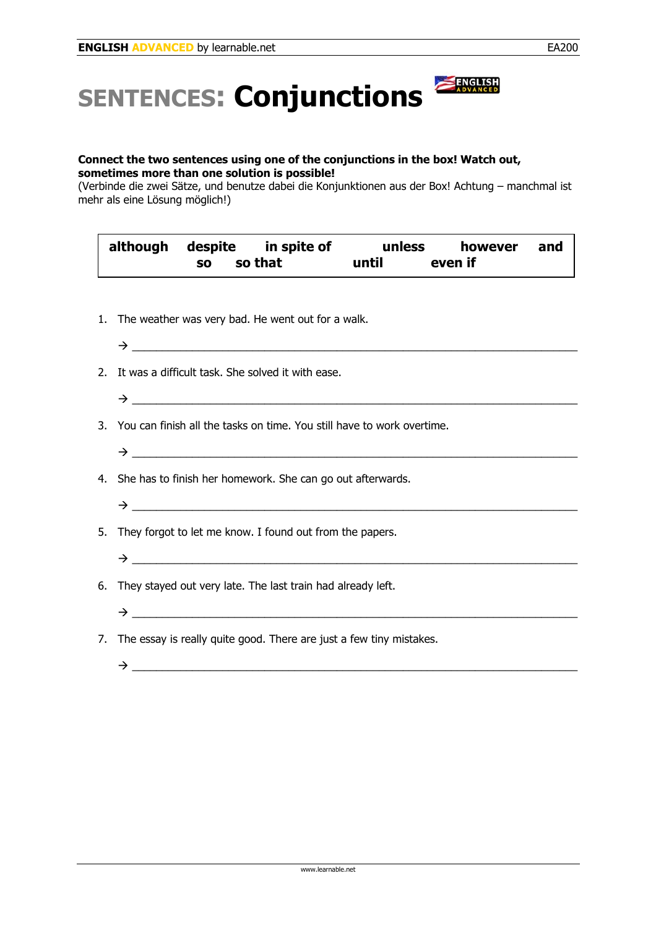## **SENTENCES: Conjunctions**

## **Connect the two sentences using one of the conjunctions in the box! Watch out, sometimes more than one solution is possible!**

(Verbinde die zwei Sätze, und benutze dabei die Konjunktionen aus der Box! Achtung – manchmal ist mehr als eine Lösung möglich!)

|  | although despite in spite of | unless | however | and |
|--|------------------------------|--------|---------|-----|
|  | so so that                   | until  | even if |     |

- 1. The weather was very bad. He went out for a walk.
- $\rightarrow$
- 2. It was a difficult task. She solved it with ease.
	- Æ \_\_\_\_\_\_\_\_\_\_\_\_\_\_\_\_\_\_\_\_\_\_\_\_\_\_\_\_\_\_\_\_\_\_\_\_\_\_\_\_\_\_\_\_\_\_\_\_\_\_\_\_\_\_\_\_\_\_\_\_\_\_\_\_\_\_\_\_\_\_\_\_\_\_
- 3. You can finish all the tasks on time. You still have to work overtime.
- 4. She has to finish her homework. She can go out afterwards.
	- Æ \_\_\_\_\_\_\_\_\_\_\_\_\_\_\_\_\_\_\_\_\_\_\_\_\_\_\_\_\_\_\_\_\_\_\_\_\_\_\_\_\_\_\_\_\_\_\_\_\_\_\_\_\_\_\_\_\_\_\_\_\_\_\_\_\_\_\_\_\_\_\_\_\_\_

 $\rightarrow$ 

5. They forgot to let me know. I found out from the papers.

Æ \_\_\_\_\_\_\_\_\_\_\_\_\_\_\_\_\_\_\_\_\_\_\_\_\_\_\_\_\_\_\_\_\_\_\_\_\_\_\_\_\_\_\_\_\_\_\_\_\_\_\_\_\_\_\_\_\_\_\_\_\_\_\_\_\_\_\_\_\_\_\_\_\_\_

- 6. They stayed out very late. The last train had already left.
- Æ \_\_\_\_\_\_\_\_\_\_\_\_\_\_\_\_\_\_\_\_\_\_\_\_\_\_\_\_\_\_\_\_\_\_\_\_\_\_\_\_\_\_\_\_\_\_\_\_\_\_\_\_\_\_\_\_\_\_\_\_\_\_\_\_\_\_\_\_\_\_\_\_\_\_
- 7. The essay is really quite good. There are just a few tiny mistakes.
	- Æ \_\_\_\_\_\_\_\_\_\_\_\_\_\_\_\_\_\_\_\_\_\_\_\_\_\_\_\_\_\_\_\_\_\_\_\_\_\_\_\_\_\_\_\_\_\_\_\_\_\_\_\_\_\_\_\_\_\_\_\_\_\_\_\_\_\_\_\_\_\_\_\_\_\_